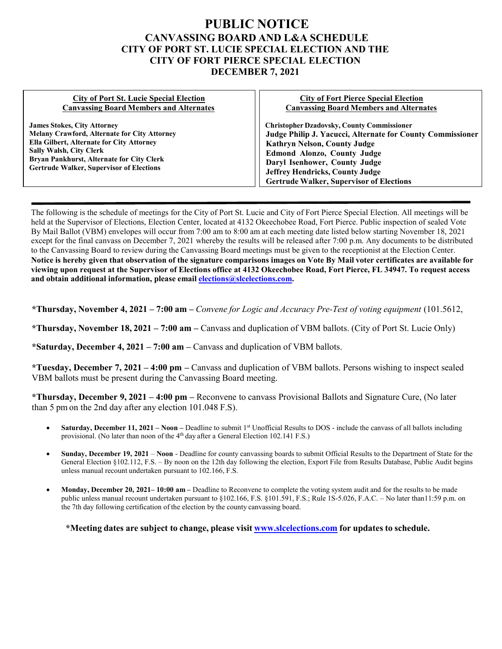## **PUBLIC NOTICE CANVASSING BOARD AND L&A SCHEDULE CITY OF PORT ST. LUCIE SPECIAL ELECTION AND THE CITY OF FORT PIERCE SPECIAL ELECTION DECEMBER 7, 2021**

## **City of Port St. Lucie Special Election Canvassing Board Members and Alternates**

**James Stokes, City Attorney Melany Crawford, Alternate for City Attorney Ella Gilbert, Alternate for City Attorney Sally Walsh, City Clerk Bryan Pankhurst, Alternate for City Clerk Gertrude Walker, Supervisor of Elections**

## **City of Fort Pierce Special Election Canvassing Board Members and Alternates**

**Christopher Dzadovsky, County Commissioner Judge Philip J. Yacucci, Alternate for County Commissioner Kathryn Nelson, County Judge Edmond Alonzo, County Judge Daryl Isenhower, County Judge Jeffrey Hendricks, County Judge Gertrude Walker, Supervisor of Elections**

The following is the schedule of meetings for the City of Port St. Lucie and City of Fort Pierce Special Election. All meetings will be held at the Supervisor of Elections, Election Center, located at 4132 Okeechobee Road, Fort Pierce. Public inspection of sealed Vote By Mail Ballot (VBM) envelopes will occur from 7:00 am to 8:00 am at each meeting date listed below starting November 18, 2021 except for the final canvass on December 7, 2021 whereby the results will be released after 7:00 p.m. Any documents to be distributed to the Canvassing Board to review during the Canvassing Board meetings must be given to the receptionist at the Election Center. Notice is hereby given that observation of the signature comparisons images on Vote By Mail voter certificates are available for **viewing upon request at the Supervisor of Elections office at 4132 Okeechobee Road, Fort Pierce, FL 34947. To request access and obtain additional information, please email [elections@slcelections.com.](mailto:elections@slcelections.com)**

**\*Thursday, November 4, 2021 – 7:00 am –** *Convene for Logic and Accuracy Pre-Test of voting equipment* (101.5612,

**\*Thursday, November 18, 2021 – 7:00 am –** Canvass and duplication of VBM ballots. (City of Port St. Lucie Only)

**\*Saturday, December 4, 2021 – 7:00 am –** Canvass and duplication of VBM ballots.

**\*Tuesday, December 7, 2021 – 4:00 pm –** Canvass and duplication of VBM ballots. Persons wishing to inspect sealed VBM ballots must be present during the Canvassing Board meeting.

**\*Thursday, December 9, 2021 – 4:00 pm –** Reconvene to canvass Provisional Ballots and Signature Cure, (No later than 5 pm on the 2nd day after any election 101.048 F.S).

- **Saturday, December 11, 2021 Noon –** Deadline to submit 1<sup>st</sup> Unofficial Results to DOS include the canvass of all ballots including provisional. (No later than noon of the 4<sup>th</sup> day after a General Election 102.141 F.S.)
- **Sunday, December 19, 2021 Noon**  Deadline for county canvassing boards to submit Official Results to the Department of State for the General Election §102.112, F.S. – By noon on the 12th day following the election, Export File from Results Database, Public Audit begins unless manual recount undertaken pursuant to 102.166, F.S.
- **Monday, December 20, 2021– 10:00 am –** Deadline to Reconvene to complete the voting system audit and for the results to be made public unless manual recount undertaken pursuant to §102.166, F.S. [§101.591, F.S.;](http://www.slcelections.com/) Rule 1S-5.026, F.A.C. - No later than11:59 p.m. on the 7th day following certification of the election by the county canvassing board.

**\*Meeting dates are subject to change, please visit [www.slcelections.com](http://www.slcelections.com/) for updates to schedule.**